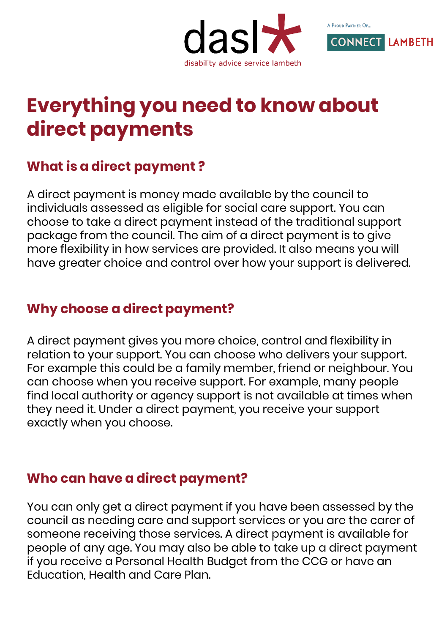



# **Everything you need to know about direct payments**

## **What is a direct payment ?**

A direct payment is money made available by the council to individuals assessed as eligible for social care support. You can choose to take a direct payment instead of the traditional support package from the council. The aim of a direct payment is to give more flexibility in how services are provided. It also means you will have greater choice and control over how your support is delivered.

### **Why choose a direct payment?**

A direct payment gives you more choice, control and flexibility in relation to your support. You can choose who delivers your support. For example this could be a family member, friend or neighbour. You can choose when you receive support. For example, many people find local authority or agency support is not available at times when they need it. Under a direct payment, you receive your support exactly when you choose.

## **Who can have a direct payment?**

You can only get a direct payment if you have been assessed by the council as needing care and support services or you are the carer of someone receiving those services. A direct payment is available for people of any age. You may also be able to take up a direct payment if you receive a Personal Health Budget from the CCG or have an Education, Health and Care Plan.